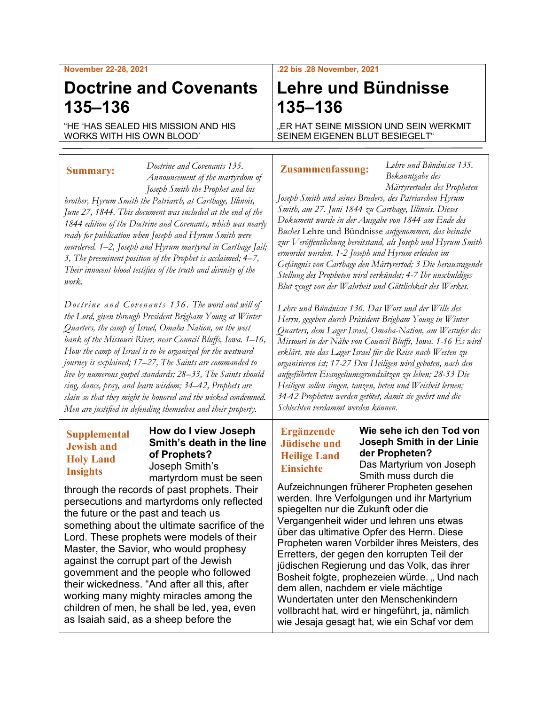#### **November 22-28, 2021**

## **Doctrine and Covenants 135–136**

"HE 'HAS SEALED HIS MISSION AND HIS WORKS WITH HIS OWN BLOOD'

#### **Summary:**

*work.*

*Announcement of the martyrdom of Joseph Smith the Prophet and his brother, Hyrum Smith the Patriarch, at Carthage, Illinois, June 27, 1844. This document was included at the end of the 1844 edition of the Doctrine and Covenants, which was nearly ready for publication when Joseph and Hyrum Smith were murdered. 1–2, Joseph and Hyrum martyred in Carthage Jail; 3, The preeminent position of the Prophet is acclaimed; 4–7, Their innocent blood testifies of the truth and divinity of the* 

*Doctrine and Covenants 135.* 

*Doctrine and Covenants 13 6 . The word and will of the Lord, given through President Brigham Young at Winter Quarters, the camp of Israel, Omaha Nation, on the west bank of the Missouri River, near Council Bluffs, Iowa. 1–16, How the camp of Israel is to be organized for the westward journey is explained; 17–27, The Saints are commanded to live by numerous gospel standards; 28–33, The Saints should sing, dance, pray, and learn wisdom; 34–42, Prophets are slain so that they might be honored and the wicked condemned. Men are justified in defending themselves and their property.*

### **Supplemental Jewish and Holy Land Insights**

#### **How do I view Joseph Smith's death in the line of Prophets?** Joseph Smith's martyrdom must be seen

through the records of past prophets. Their persecutions and martyrdoms only reflected the future or the past and teach us something about the ultimate sacrifice of the Lord. These prophets were models of their Master, the Savior, who would prophesy against the corrupt part of the Jewish government and the people who followed their wickedness. "And after all this, after working many mighty miracles among the children of men, he shall be led, yea, even as Isaiah said, as a sheep before the

#### **.22 bis .28 November, 2021**

# **Lehre und Bündnisse 135–136**

"ER HAT SEINE MISSION UND SEIN WERKMIT SEINEM EIGENEN BLUT BESIEGELT"

#### **Zusammenfassung:**

*Lehre und Bündnisse 135. Bekanntgabe des Märtyrertodes des Propheten* 

*Joseph Smith und seines Bruders, des Patriarchen Hyrum Smith, am 27. Juni 1844 zu Carthage, Illinois. Dieses Dokument wurde in der Ausgabe von 1844 am Ende des Buches* Lehre und Bündnisse *aufgenommen, das beinahe zur Veröffentlichung bereitstand, als Joseph und Hyrum Smith ermordet wurden. 1-2 Joseph und Hyrum erleiden im Gefängnis von Carthage den Märtyrertod; 3 Die herausragende Stellung des Propheten wird verkündet; 4-7 Ihr unschuldiges Blut zeugt von der Wahrheit und Göttlichkeit des Werkes.*

*Lehre und Bündnisse 136. Das Wort und der Wille des Herrn, gegeben durch Präsident Brigham Young in Winter Quarters, dem Lager Israel, Omaha-Nation, am Westufer des Missouri in der Nähe von Council Bluffs, Iowa. 1-16 Es wird erklärt, wie das Lager Israel für die Reise nach Westen zu organisieren ist; 17-27 Den Heiligen wird geboten, nach den aufgeführten Evangeliumsgrundsätzen zu leben; 28-33 Die Heiligen sollen singen, tanzen, beten und Weisheit lernen; 34-42 Propheten werden getötet, damit sie geehrt und die Schlechten verdammt werden können.*

## **Ergänzende Jüdische und Heilige Land Einsichte**

**Wie sehe ich den Tod von Joseph Smith in der Linie der Propheten?** Das Martyrium von Joseph Smith muss durch die

Aufzeichnungen früherer Propheten gesehen werden. Ihre Verfolgungen und ihr Martyrium spiegelten nur die Zukunft oder die Vergangenheit wider und lehren uns etwas über das ultimative Opfer des Herrn. Diese Propheten waren Vorbilder ihres Meisters, des Erretters, der gegen den korrupten Teil der jüdischen Regierung und das Volk, das ihrer Bosheit folgte, prophezeien würde. "Und nach dem allen, nachdem er viele mächtige Wundertaten unter den Menschenkindern vollbracht hat, wird er hingeführt, ja, nämlich wie Jesaja gesagt hat, wie ein Schaf vor dem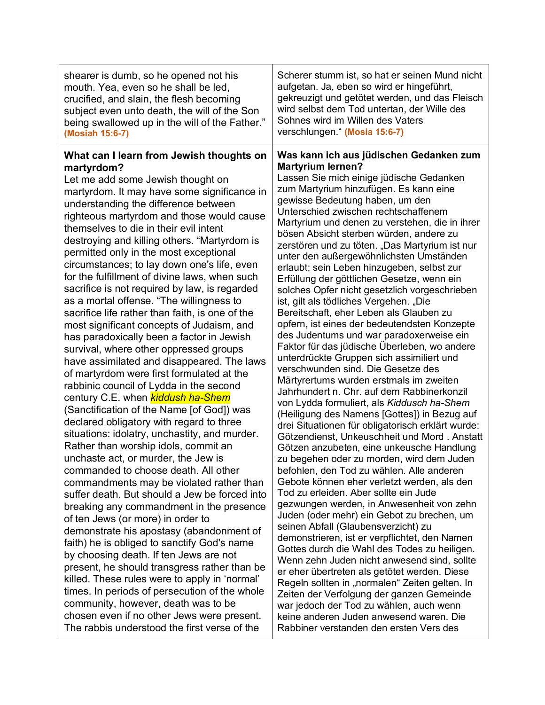| shearer is dumb, so he opened not his                                                                                                                                                                                                                                                                                                                                                                                                                                                                                                                                                                                                                                                                                                                                                                                                                                                                                                                                                                                                                                                                                                                                                                                                                                                                                                                                                                                                                                                                                                                                                                                                                                                                                                                                                                                | Scherer stumm ist, so hat er seinen Mund nicht                                                                                                                                                                                                                                                                                                                                                                                                                                                                                                                                                                                                                                                                                                                                                                                                                                                                                                                                                                                                                                                                                                                                                                                                                                                                                                                                                                                                                                                                                                                                                                                                                                                                                                                                                                                                                                                                                                                                               |
|----------------------------------------------------------------------------------------------------------------------------------------------------------------------------------------------------------------------------------------------------------------------------------------------------------------------------------------------------------------------------------------------------------------------------------------------------------------------------------------------------------------------------------------------------------------------------------------------------------------------------------------------------------------------------------------------------------------------------------------------------------------------------------------------------------------------------------------------------------------------------------------------------------------------------------------------------------------------------------------------------------------------------------------------------------------------------------------------------------------------------------------------------------------------------------------------------------------------------------------------------------------------------------------------------------------------------------------------------------------------------------------------------------------------------------------------------------------------------------------------------------------------------------------------------------------------------------------------------------------------------------------------------------------------------------------------------------------------------------------------------------------------------------------------------------------------|----------------------------------------------------------------------------------------------------------------------------------------------------------------------------------------------------------------------------------------------------------------------------------------------------------------------------------------------------------------------------------------------------------------------------------------------------------------------------------------------------------------------------------------------------------------------------------------------------------------------------------------------------------------------------------------------------------------------------------------------------------------------------------------------------------------------------------------------------------------------------------------------------------------------------------------------------------------------------------------------------------------------------------------------------------------------------------------------------------------------------------------------------------------------------------------------------------------------------------------------------------------------------------------------------------------------------------------------------------------------------------------------------------------------------------------------------------------------------------------------------------------------------------------------------------------------------------------------------------------------------------------------------------------------------------------------------------------------------------------------------------------------------------------------------------------------------------------------------------------------------------------------------------------------------------------------------------------------------------------------|
| mouth. Yea, even so he shall be led,                                                                                                                                                                                                                                                                                                                                                                                                                                                                                                                                                                                                                                                                                                                                                                                                                                                                                                                                                                                                                                                                                                                                                                                                                                                                                                                                                                                                                                                                                                                                                                                                                                                                                                                                                                                 | aufgetan. Ja, eben so wird er hingeführt,                                                                                                                                                                                                                                                                                                                                                                                                                                                                                                                                                                                                                                                                                                                                                                                                                                                                                                                                                                                                                                                                                                                                                                                                                                                                                                                                                                                                                                                                                                                                                                                                                                                                                                                                                                                                                                                                                                                                                    |
| crucified, and slain, the flesh becoming                                                                                                                                                                                                                                                                                                                                                                                                                                                                                                                                                                                                                                                                                                                                                                                                                                                                                                                                                                                                                                                                                                                                                                                                                                                                                                                                                                                                                                                                                                                                                                                                                                                                                                                                                                             | gekreuzigt und getötet werden, und das Fleisch                                                                                                                                                                                                                                                                                                                                                                                                                                                                                                                                                                                                                                                                                                                                                                                                                                                                                                                                                                                                                                                                                                                                                                                                                                                                                                                                                                                                                                                                                                                                                                                                                                                                                                                                                                                                                                                                                                                                               |
| subject even unto death, the will of the Son                                                                                                                                                                                                                                                                                                                                                                                                                                                                                                                                                                                                                                                                                                                                                                                                                                                                                                                                                                                                                                                                                                                                                                                                                                                                                                                                                                                                                                                                                                                                                                                                                                                                                                                                                                         | wird selbst dem Tod untertan, der Wille des                                                                                                                                                                                                                                                                                                                                                                                                                                                                                                                                                                                                                                                                                                                                                                                                                                                                                                                                                                                                                                                                                                                                                                                                                                                                                                                                                                                                                                                                                                                                                                                                                                                                                                                                                                                                                                                                                                                                                  |
| being swallowed up in the will of the Father."                                                                                                                                                                                                                                                                                                                                                                                                                                                                                                                                                                                                                                                                                                                                                                                                                                                                                                                                                                                                                                                                                                                                                                                                                                                                                                                                                                                                                                                                                                                                                                                                                                                                                                                                                                       | Sohnes wird im Willen des Vaters                                                                                                                                                                                                                                                                                                                                                                                                                                                                                                                                                                                                                                                                                                                                                                                                                                                                                                                                                                                                                                                                                                                                                                                                                                                                                                                                                                                                                                                                                                                                                                                                                                                                                                                                                                                                                                                                                                                                                             |
| (Mosiah 15:6-7)                                                                                                                                                                                                                                                                                                                                                                                                                                                                                                                                                                                                                                                                                                                                                                                                                                                                                                                                                                                                                                                                                                                                                                                                                                                                                                                                                                                                                                                                                                                                                                                                                                                                                                                                                                                                      | verschlungen." (Mosia 15:6-7)                                                                                                                                                                                                                                                                                                                                                                                                                                                                                                                                                                                                                                                                                                                                                                                                                                                                                                                                                                                                                                                                                                                                                                                                                                                                                                                                                                                                                                                                                                                                                                                                                                                                                                                                                                                                                                                                                                                                                                |
| What can I learn from Jewish thoughts on<br>martyrdom?<br>Let me add some Jewish thought on<br>martyrdom. It may have some significance in<br>understanding the difference between<br>righteous martyrdom and those would cause<br>themselves to die in their evil intent<br>destroying and killing others. "Martyrdom is<br>permitted only in the most exceptional<br>circumstances; to lay down one's life, even<br>for the fulfillment of divine laws, when such<br>sacrifice is not required by law, is regarded<br>as a mortal offense. "The willingness to<br>sacrifice life rather than faith, is one of the<br>most significant concepts of Judaism, and<br>has paradoxically been a factor in Jewish<br>survival, where other oppressed groups<br>have assimilated and disappeared. The laws<br>of martyrdom were first formulated at the<br>rabbinic council of Lydda in the second<br>century C.E. when <i>kiddush ha-Shem</i><br>(Sanctification of the Name [of God]) was<br>declared obligatory with regard to three<br>situations: idolatry, unchastity, and murder.<br>Rather than worship idols, commit an<br>unchaste act, or murder, the Jew is<br>commanded to choose death. All other<br>commandments may be violated rather than<br>suffer death. But should a Jew be forced into<br>breaking any commandment in the presence<br>of ten Jews (or more) in order to<br>demonstrate his apostasy (abandonment of<br>faith) he is obliged to sanctify God's name<br>by choosing death. If ten Jews are not<br>present, he should transgress rather than be<br>killed. These rules were to apply in 'normal'<br>times. In periods of persecution of the whole<br>community, however, death was to be<br>chosen even if no other Jews were present.<br>The rabbis understood the first verse of the | Was kann ich aus jüdischen Gedanken zum<br><b>Martyrium lernen?</b><br>Lassen Sie mich einige jüdische Gedanken<br>zum Martyrium hinzufügen. Es kann eine<br>gewisse Bedeutung haben, um den<br>Unterschied zwischen rechtschaffenem<br>Martyrium und denen zu verstehen, die in ihrer<br>bösen Absicht sterben würden, andere zu<br>zerstören und zu töten. "Das Martyrium ist nur<br>unter den außergewöhnlichsten Umständen<br>erlaubt; sein Leben hinzugeben, selbst zur<br>Erfüllung der göttlichen Gesetze, wenn ein<br>solches Opfer nicht gesetzlich vorgeschrieben<br>ist, gilt als tödliches Vergehen. "Die<br>Bereitschaft, eher Leben als Glauben zu<br>opfern, ist eines der bedeutendsten Konzepte<br>des Judentums und war paradoxerweise ein<br>Faktor für das jüdische Überleben, wo andere<br>unterdrückte Gruppen sich assimiliert und<br>verschwunden sind. Die Gesetze des<br>Märtyrertums wurden erstmals im zweiten<br>Jahrhundert n. Chr. auf dem Rabbinerkonzil<br>von Lydda formuliert, als Kiddusch ha-Shem<br>(Heiligung des Namens [Gottes]) in Bezug auf<br>drei Situationen für obligatorisch erklärt wurde:<br>Götzendienst, Unkeuschheit und Mord. Anstatt<br>Götzen anzubeten, eine unkeusche Handlung<br>zu begehen oder zu morden, wird dem Juden<br>befohlen, den Tod zu wählen. Alle anderen<br>Gebote können eher verletzt werden, als den<br>Tod zu erleiden. Aber sollte ein Jude<br>gezwungen werden, in Anwesenheit von zehn<br>Juden (oder mehr) ein Gebot zu brechen, um<br>seinen Abfall (Glaubensverzicht) zu<br>demonstrieren, ist er verpflichtet, den Namen<br>Gottes durch die Wahl des Todes zu heiligen.<br>Wenn zehn Juden nicht anwesend sind, sollte<br>er eher übertreten als getötet werden. Diese<br>Regeln sollten in "normalen" Zeiten gelten. In<br>Zeiten der Verfolgung der ganzen Gemeinde<br>war jedoch der Tod zu wählen, auch wenn<br>keine anderen Juden anwesend waren. Die<br>Rabbiner verstanden den ersten Vers des |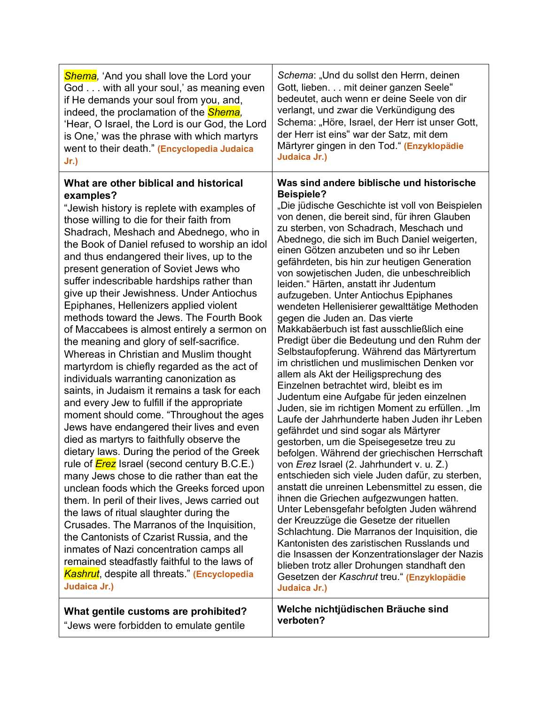| <b>Shema</b> , 'And you shall love the Lord your<br>God with all your soul,' as meaning even<br>if He demands your soul from you, and,<br>indeed, the proclamation of the <b>Shema</b> ,<br>'Hear, O Israel, the Lord is our God, the Lord<br>is One,' was the phrase with which martyrs<br>went to their death." (Encyclopedia Judaica<br>$Jr.$ )                                                                                                                                                                                                                                                                                                                                                                                                                                                                                                                                                                                                                                                                                                                                                                                                                                                                                                                                                                                                                                                                                                                                                                                            | Schema: "Und du sollst den Herrn, deinen<br>Gott, lieben. mit deiner ganzen Seele"<br>bedeutet, auch wenn er deine Seele von dir<br>verlangt, und zwar die Verkündigung des<br>Schema: "Höre, Israel, der Herr ist unser Gott,<br>der Herr ist eins" war der Satz, mit dem<br>Märtyrer gingen in den Tod." (Enzyklopädie<br>Judaica Jr.)                                                                                                                                                                                                                                                                                                                                                                                                                                                                                                                                                                                                                                                                                                                                                                                                                                                                                                                                                                                                                                                                                                                                                                                                                                                                                                                                                              |
|-----------------------------------------------------------------------------------------------------------------------------------------------------------------------------------------------------------------------------------------------------------------------------------------------------------------------------------------------------------------------------------------------------------------------------------------------------------------------------------------------------------------------------------------------------------------------------------------------------------------------------------------------------------------------------------------------------------------------------------------------------------------------------------------------------------------------------------------------------------------------------------------------------------------------------------------------------------------------------------------------------------------------------------------------------------------------------------------------------------------------------------------------------------------------------------------------------------------------------------------------------------------------------------------------------------------------------------------------------------------------------------------------------------------------------------------------------------------------------------------------------------------------------------------------|-------------------------------------------------------------------------------------------------------------------------------------------------------------------------------------------------------------------------------------------------------------------------------------------------------------------------------------------------------------------------------------------------------------------------------------------------------------------------------------------------------------------------------------------------------------------------------------------------------------------------------------------------------------------------------------------------------------------------------------------------------------------------------------------------------------------------------------------------------------------------------------------------------------------------------------------------------------------------------------------------------------------------------------------------------------------------------------------------------------------------------------------------------------------------------------------------------------------------------------------------------------------------------------------------------------------------------------------------------------------------------------------------------------------------------------------------------------------------------------------------------------------------------------------------------------------------------------------------------------------------------------------------------------------------------------------------------|
| What are other biblical and historical<br>examples?<br>"Jewish history is replete with examples of<br>those willing to die for their faith from<br>Shadrach, Meshach and Abednego, who in<br>the Book of Daniel refused to worship an idol<br>and thus endangered their lives, up to the<br>present generation of Soviet Jews who<br>suffer indescribable hardships rather than<br>give up their Jewishness. Under Antiochus<br>Epiphanes, Hellenizers applied violent<br>methods toward the Jews. The Fourth Book<br>of Maccabees is almost entirely a sermon on<br>the meaning and glory of self-sacrifice.<br>Whereas in Christian and Muslim thought<br>martyrdom is chiefly regarded as the act of<br>individuals warranting canonization as<br>saints, in Judaism it remains a task for each<br>and every Jew to fulfill if the appropriate<br>moment should come. "Throughout the ages<br>Jews have endangered their lives and even<br>died as martyrs to faithfully observe the<br>dietary laws. During the period of the Greek<br>rule of <i>Erez</i> Israel (second century B.C.E.)<br>many Jews chose to die rather than eat the<br>unclean foods which the Greeks forced upon<br>them. In peril of their lives, Jews carried out<br>the laws of ritual slaughter during the<br>Crusades. The Marranos of the Inquisition,<br>the Cantonists of Czarist Russia, and the<br>inmates of Nazi concentration camps all<br>remained steadfastly faithful to the laws of<br>Kashrut, despite all threats." (Encyclopedia<br>Judaica Jr.) | Was sind andere biblische und historische<br><b>Beispiele?</b><br>"Die jüdische Geschichte ist voll von Beispielen<br>von denen, die bereit sind, für ihren Glauben<br>zu sterben, von Schadrach, Meschach und<br>Abednego, die sich im Buch Daniel weigerten,<br>einen Götzen anzubeten und so ihr Leben<br>gefährdeten, bis hin zur heutigen Generation<br>von sowjetischen Juden, die unbeschreiblich<br>leiden." Härten, anstatt ihr Judentum<br>aufzugeben. Unter Antiochus Epiphanes<br>wendeten Hellenisierer gewalttätige Methoden<br>gegen die Juden an. Das vierte<br>Makkabäerbuch ist fast ausschließlich eine<br>Predigt über die Bedeutung und den Ruhm der<br>Selbstaufopferung. Während das Märtyrertum<br>im christlichen und muslimischen Denken vor<br>allem als Akt der Heiligsprechung des<br>Einzelnen betrachtet wird, bleibt es im<br>Judentum eine Aufgabe für jeden einzelnen<br>Juden, sie im richtigen Moment zu erfüllen. "Im<br>Laufe der Jahrhunderte haben Juden ihr Leben<br>gefährdet und sind sogar als Märtyrer<br>gestorben, um die Speisegesetze treu zu<br>befolgen. Während der griechischen Herrschaft<br>von Erez Israel (2. Jahrhundert v. u. Z.)<br>entschieden sich viele Juden dafür, zu sterben,<br>anstatt die unreinen Lebensmittel zu essen, die<br>ihnen die Griechen aufgezwungen hatten.<br>Unter Lebensgefahr befolgten Juden während<br>der Kreuzzüge die Gesetze der rituellen<br>Schlachtung. Die Marranos der Inquisition, die<br>Kantonisten des zaristischen Russlands und<br>die Insassen der Konzentrationslager der Nazis<br>blieben trotz aller Drohungen standhaft den<br>Gesetzen der Kaschrut treu." (Enzyklopädie<br>Judaica Jr.) |
| What gentile customs are prohibited?                                                                                                                                                                                                                                                                                                                                                                                                                                                                                                                                                                                                                                                                                                                                                                                                                                                                                                                                                                                                                                                                                                                                                                                                                                                                                                                                                                                                                                                                                                          | Welche nichtjüdischen Bräuche sind                                                                                                                                                                                                                                                                                                                                                                                                                                                                                                                                                                                                                                                                                                                                                                                                                                                                                                                                                                                                                                                                                                                                                                                                                                                                                                                                                                                                                                                                                                                                                                                                                                                                    |

"Jews were forbidden to emulate gentile

**verboten?**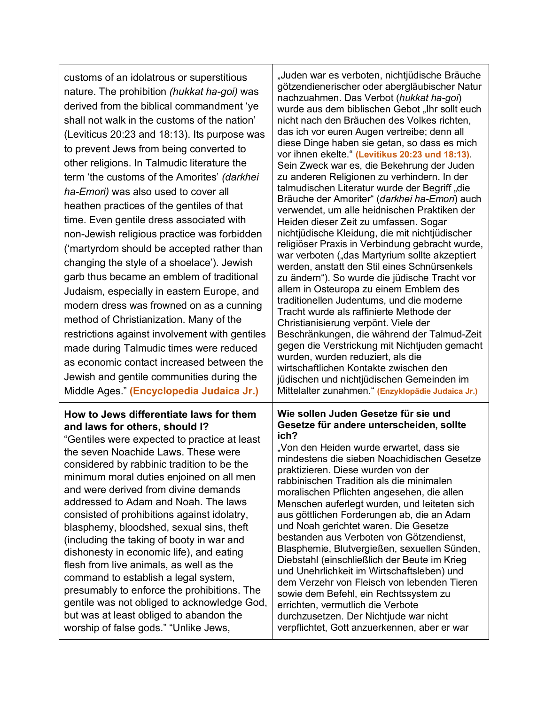| customs of an idolatrous or superstitious<br>nature. The prohibition (hukkat ha-goi) was<br>derived from the biblical commandment 'ye<br>shall not walk in the customs of the nation'<br>(Leviticus 20:23 and 18:13). Its purpose was<br>to prevent Jews from being converted to<br>other religions. In Talmudic literature the<br>term 'the customs of the Amorites' (darkhei<br>ha-Emori) was also used to cover all<br>heathen practices of the gentiles of that<br>time. Even gentile dress associated with<br>non-Jewish religious practice was forbidden<br>('martyrdom should be accepted rather than<br>changing the style of a shoelace'). Jewish<br>garb thus became an emblem of traditional<br>Judaism, especially in eastern Europe, and<br>modern dress was frowned on as a cunning<br>method of Christianization. Many of the<br>restrictions against involvement with gentiles<br>made during Talmudic times were reduced<br>as economic contact increased between the<br>Jewish and gentile communities during the<br>Middle Ages." (Encyclopedia Judaica Jr.) | "Juden war es verboten, nichtjüdische Bräuche<br>götzendienerischer oder abergläubischer Natur<br>nachzuahmen. Das Verbot (hukkat ha-goi)<br>wurde aus dem biblischen Gebot "Ihr sollt euch<br>nicht nach den Bräuchen des Volkes richten,<br>das ich vor euren Augen vertreibe; denn all<br>diese Dinge haben sie getan, so dass es mich<br>vor ihnen ekelte." (Levitikus 20:23 und 18:13).<br>Sein Zweck war es, die Bekehrung der Juden<br>zu anderen Religionen zu verhindern. In der<br>talmudischen Literatur wurde der Begriff "die<br>Bräuche der Amoriter" (darkhei ha-Emori) auch<br>verwendet, um alle heidnischen Praktiken der<br>Heiden dieser Zeit zu umfassen. Sogar<br>nichtjüdische Kleidung, die mit nichtjüdischer<br>religiöser Praxis in Verbindung gebracht wurde,<br>war verboten ("das Martyrium sollte akzeptiert<br>werden, anstatt den Stil eines Schnürsenkels<br>zu ändern"). So wurde die jüdische Tracht vor<br>allem in Osteuropa zu einem Emblem des<br>traditionellen Judentums, und die moderne<br>Tracht wurde als raffinierte Methode der<br>Christianisierung verpönt. Viele der<br>Beschränkungen, die während der Talmud-Zeit<br>gegen die Verstrickung mit Nichtjuden gemacht<br>wurden, wurden reduziert, als die<br>wirtschaftlichen Kontakte zwischen den<br>jüdischen und nichtjüdischen Gemeinden im<br>Mittelalter zunahmen." (Enzyklopädie Judaica Jr.) |
|---------------------------------------------------------------------------------------------------------------------------------------------------------------------------------------------------------------------------------------------------------------------------------------------------------------------------------------------------------------------------------------------------------------------------------------------------------------------------------------------------------------------------------------------------------------------------------------------------------------------------------------------------------------------------------------------------------------------------------------------------------------------------------------------------------------------------------------------------------------------------------------------------------------------------------------------------------------------------------------------------------------------------------------------------------------------------------|----------------------------------------------------------------------------------------------------------------------------------------------------------------------------------------------------------------------------------------------------------------------------------------------------------------------------------------------------------------------------------------------------------------------------------------------------------------------------------------------------------------------------------------------------------------------------------------------------------------------------------------------------------------------------------------------------------------------------------------------------------------------------------------------------------------------------------------------------------------------------------------------------------------------------------------------------------------------------------------------------------------------------------------------------------------------------------------------------------------------------------------------------------------------------------------------------------------------------------------------------------------------------------------------------------------------------------------------------------------------------------------------------------|
| How to Jews differentiate laws for them<br>and laws for others, should I?<br>"Gentiles were expected to practice at least<br>the seven Noachide Laws. These were<br>considered by rabbinic tradition to be the<br>minimum moral duties enjoined on all men<br>and were derived from divine demands<br>addressed to Adam and Noah. The laws<br>consisted of prohibitions against idolatry,<br>blasphemy, bloodshed, sexual sins, theft<br>(including the taking of booty in war and<br>dishonesty in economic life), and eating<br>flesh from live animals, as well as the<br>command to establish a legal system,<br>presumably to enforce the prohibitions. The<br>gentile was not obliged to acknowledge God,<br>but was at least obliged to abandon the<br>worship of false gods." "Unlike Jews,                                                                                                                                                                                                                                                                             | Wie sollen Juden Gesetze für sie und<br>Gesetze für andere unterscheiden, sollte<br>ich?<br>"Von den Heiden wurde erwartet, dass sie<br>mindestens die sieben Noachidischen Gesetze<br>praktizieren. Diese wurden von der<br>rabbinischen Tradition als die minimalen<br>moralischen Pflichten angesehen, die allen<br>Menschen auferlegt wurden, und leiteten sich<br>aus göttlichen Forderungen ab, die an Adam<br>und Noah gerichtet waren. Die Gesetze<br>bestanden aus Verboten von Götzendienst,<br>Blasphemie, Blutvergießen, sexuellen Sünden,<br>Diebstahl (einschließlich der Beute im Krieg<br>und Unehrlichkeit im Wirtschaftsleben) und<br>dem Verzehr von Fleisch von lebenden Tieren<br>sowie dem Befehl, ein Rechtssystem zu<br>errichten, vermutlich die Verbote<br>durchzusetzen. Der Nichtjude war nicht<br>verpflichtet, Gott anzuerkennen, aber er war                                                                                                                                                                                                                                                                                                                                                                                                                                                                                                                              |

T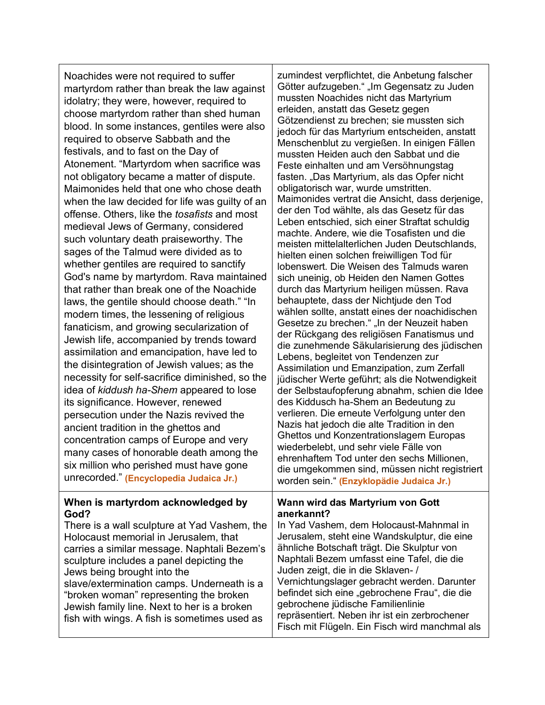Noachides were not required to suffer martyrdom rather than break the law against idolatry; they were, however, required to choose martyrdom rather than shed human blood. In some instances, gentiles were also required to observe Sabbath and the festivals, and to fast on the Day of Atonement. "Martyrdom when sacrifice was not obligatory became a matter of dispute. Maimonides held that one who chose death when the law decided for life was guilty of an offense. Others, like the *tosafists* and most medieval Jews of Germany, considered such voluntary death praiseworthy. The sages of the Talmud were divided as to whether gentiles are required to sanctify God's name by martyrdom. Rava maintained that rather than break one of the Noachide laws, the gentile should choose death." "In modern times, the lessening of religious fanaticism, and growing secularization of Jewish life, accompanied by trends toward assimilation and emancipation, have led to the disintegration of Jewish values; as the necessity for self-sacrifice diminished, so the idea of *kiddush ha-Shem* appeared to lose its significance. However, renewed persecution under the Nazis revived the ancient tradition in the ghettos and concentration camps of Europe and very many cases of honorable death among the six million who perished must have gone unrecorded." **(Encyclopedia Judaica Jr.)**

#### **When is martyrdom acknowledged by God?**

There is a wall sculpture at Yad Vashem, the Holocaust memorial in Jerusalem, that carries a similar message. Naphtali Bezem's sculpture includes a panel depicting the Jews being brought into the slave/extermination camps. Underneath is a "broken woman" representing the broken Jewish family line. Next to her is a broken fish with wings. A fish is sometimes used as

zumindest verpflichtet, die Anbetung falscher Götter aufzugeben." "Im Gegensatz zu Juden mussten Noachides nicht das Martyrium erleiden, anstatt das Gesetz gegen Götzendienst zu brechen; sie mussten sich jedoch für das Martyrium entscheiden, anstatt Menschenblut zu vergießen. In einigen Fällen mussten Heiden auch den Sabbat und die Feste einhalten und am Versöhnungstag fasten. "Das Martyrium, als das Opfer nicht obligatorisch war, wurde umstritten. Maimonides vertrat die Ansicht, dass derjenige, der den Tod wählte, als das Gesetz für das Leben entschied, sich einer Straftat schuldig machte. Andere, wie die Tosafisten und die meisten mittelalterlichen Juden Deutschlands, hielten einen solchen freiwilligen Tod für lobenswert. Die Weisen des Talmuds waren sich uneinig, ob Heiden den Namen Gottes durch das Martyrium heiligen müssen. Rava behauptete, dass der Nichtjude den Tod wählen sollte, anstatt eines der noachidischen Gesetze zu brechen." "In der Neuzeit haben der Rückgang des religiösen Fanatismus und die zunehmende Säkularisierung des jüdischen Lebens, begleitet von Tendenzen zur Assimilation und Emanzipation, zum Zerfall jüdischer Werte geführt; als die Notwendigkeit der Selbstaufopferung abnahm, schien die Idee des Kiddusch ha-Shem an Bedeutung zu verlieren. Die erneute Verfolgung unter den Nazis hat jedoch die alte Tradition in den Ghettos und Konzentrationslagern Europas wiederbelebt, und sehr viele Fälle von ehrenhaftem Tod unter den sechs Millionen, die umgekommen sind, müssen nicht registriert worden sein." **(Enzyklopädie Judaica Jr.)**

#### **Wann wird das Martyrium von Gott anerkannt?**

In Yad Vashem, dem Holocaust-Mahnmal in Jerusalem, steht eine Wandskulptur, die eine ähnliche Botschaft trägt. Die Skulptur von Naphtali Bezem umfasst eine Tafel, die die Juden zeigt, die in die Sklaven- / Vernichtungslager gebracht werden. Darunter befindet sich eine "gebrochene Frau", die die gebrochene jüdische Familienlinie repräsentiert. Neben ihr ist ein zerbrochener Fisch mit Flügeln. Ein Fisch wird manchmal als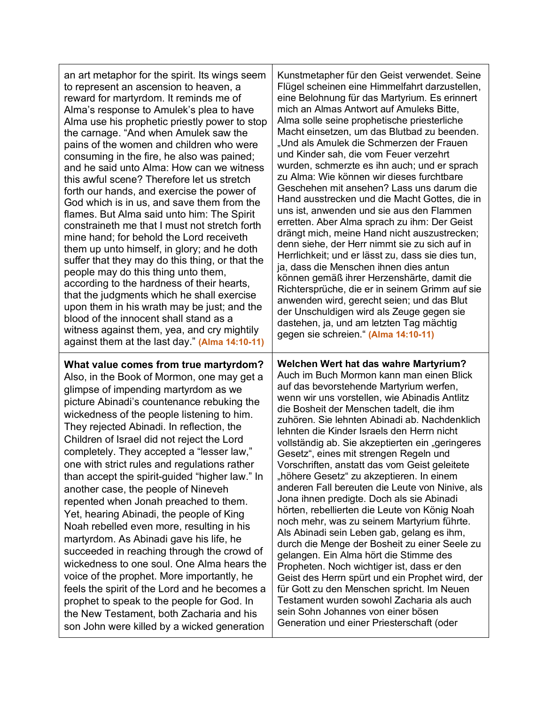| an art metaphor for the spirit. Its wings seem                                                                                                                                                                                                                                                                                                                                                                                                                                                                                                                                                                                                                                                                                                                                                                                                                                                                                                                                                                            | Kunstmetapher für den Geist verwendet. Seine                                                                                                                                                                                                                                                                                                                                                                                                                                                                                                                                                                                                                                                                                                                                                                                                                                                                                                                                                                                                                                                                                               |
|---------------------------------------------------------------------------------------------------------------------------------------------------------------------------------------------------------------------------------------------------------------------------------------------------------------------------------------------------------------------------------------------------------------------------------------------------------------------------------------------------------------------------------------------------------------------------------------------------------------------------------------------------------------------------------------------------------------------------------------------------------------------------------------------------------------------------------------------------------------------------------------------------------------------------------------------------------------------------------------------------------------------------|--------------------------------------------------------------------------------------------------------------------------------------------------------------------------------------------------------------------------------------------------------------------------------------------------------------------------------------------------------------------------------------------------------------------------------------------------------------------------------------------------------------------------------------------------------------------------------------------------------------------------------------------------------------------------------------------------------------------------------------------------------------------------------------------------------------------------------------------------------------------------------------------------------------------------------------------------------------------------------------------------------------------------------------------------------------------------------------------------------------------------------------------|
| to represent an ascension to heaven, a                                                                                                                                                                                                                                                                                                                                                                                                                                                                                                                                                                                                                                                                                                                                                                                                                                                                                                                                                                                    | Flügel scheinen eine Himmelfahrt darzustellen,                                                                                                                                                                                                                                                                                                                                                                                                                                                                                                                                                                                                                                                                                                                                                                                                                                                                                                                                                                                                                                                                                             |
| reward for martyrdom. It reminds me of                                                                                                                                                                                                                                                                                                                                                                                                                                                                                                                                                                                                                                                                                                                                                                                                                                                                                                                                                                                    | eine Belohnung für das Martyrium. Es erinnert                                                                                                                                                                                                                                                                                                                                                                                                                                                                                                                                                                                                                                                                                                                                                                                                                                                                                                                                                                                                                                                                                              |
| Alma's response to Amulek's plea to have                                                                                                                                                                                                                                                                                                                                                                                                                                                                                                                                                                                                                                                                                                                                                                                                                                                                                                                                                                                  | mich an Almas Antwort auf Amuleks Bitte,                                                                                                                                                                                                                                                                                                                                                                                                                                                                                                                                                                                                                                                                                                                                                                                                                                                                                                                                                                                                                                                                                                   |
| Alma use his prophetic priestly power to stop                                                                                                                                                                                                                                                                                                                                                                                                                                                                                                                                                                                                                                                                                                                                                                                                                                                                                                                                                                             | Alma solle seine prophetische priesterliche                                                                                                                                                                                                                                                                                                                                                                                                                                                                                                                                                                                                                                                                                                                                                                                                                                                                                                                                                                                                                                                                                                |
| the carnage. "And when Amulek saw the                                                                                                                                                                                                                                                                                                                                                                                                                                                                                                                                                                                                                                                                                                                                                                                                                                                                                                                                                                                     | Macht einsetzen, um das Blutbad zu beenden.                                                                                                                                                                                                                                                                                                                                                                                                                                                                                                                                                                                                                                                                                                                                                                                                                                                                                                                                                                                                                                                                                                |
| pains of the women and children who were                                                                                                                                                                                                                                                                                                                                                                                                                                                                                                                                                                                                                                                                                                                                                                                                                                                                                                                                                                                  | "Und als Amulek die Schmerzen der Frauen                                                                                                                                                                                                                                                                                                                                                                                                                                                                                                                                                                                                                                                                                                                                                                                                                                                                                                                                                                                                                                                                                                   |
| consuming in the fire, he also was pained;                                                                                                                                                                                                                                                                                                                                                                                                                                                                                                                                                                                                                                                                                                                                                                                                                                                                                                                                                                                | und Kinder sah, die vom Feuer verzehrt                                                                                                                                                                                                                                                                                                                                                                                                                                                                                                                                                                                                                                                                                                                                                                                                                                                                                                                                                                                                                                                                                                     |
| and he said unto Alma: How can we witness                                                                                                                                                                                                                                                                                                                                                                                                                                                                                                                                                                                                                                                                                                                                                                                                                                                                                                                                                                                 | wurden, schmerzte es ihn auch; und er sprach                                                                                                                                                                                                                                                                                                                                                                                                                                                                                                                                                                                                                                                                                                                                                                                                                                                                                                                                                                                                                                                                                               |
| this awful scene? Therefore let us stretch                                                                                                                                                                                                                                                                                                                                                                                                                                                                                                                                                                                                                                                                                                                                                                                                                                                                                                                                                                                | zu Alma: Wie können wir dieses furchtbare                                                                                                                                                                                                                                                                                                                                                                                                                                                                                                                                                                                                                                                                                                                                                                                                                                                                                                                                                                                                                                                                                                  |
| forth our hands, and exercise the power of                                                                                                                                                                                                                                                                                                                                                                                                                                                                                                                                                                                                                                                                                                                                                                                                                                                                                                                                                                                | Geschehen mit ansehen? Lass uns darum die                                                                                                                                                                                                                                                                                                                                                                                                                                                                                                                                                                                                                                                                                                                                                                                                                                                                                                                                                                                                                                                                                                  |
| God which is in us, and save them from the                                                                                                                                                                                                                                                                                                                                                                                                                                                                                                                                                                                                                                                                                                                                                                                                                                                                                                                                                                                | Hand ausstrecken und die Macht Gottes, die in                                                                                                                                                                                                                                                                                                                                                                                                                                                                                                                                                                                                                                                                                                                                                                                                                                                                                                                                                                                                                                                                                              |
| flames. But Alma said unto him: The Spirit                                                                                                                                                                                                                                                                                                                                                                                                                                                                                                                                                                                                                                                                                                                                                                                                                                                                                                                                                                                | uns ist, anwenden und sie aus den Flammen                                                                                                                                                                                                                                                                                                                                                                                                                                                                                                                                                                                                                                                                                                                                                                                                                                                                                                                                                                                                                                                                                                  |
| constraineth me that I must not stretch forth                                                                                                                                                                                                                                                                                                                                                                                                                                                                                                                                                                                                                                                                                                                                                                                                                                                                                                                                                                             | erretten. Aber Alma sprach zu ihm: Der Geist                                                                                                                                                                                                                                                                                                                                                                                                                                                                                                                                                                                                                                                                                                                                                                                                                                                                                                                                                                                                                                                                                               |
| mine hand; for behold the Lord receiveth                                                                                                                                                                                                                                                                                                                                                                                                                                                                                                                                                                                                                                                                                                                                                                                                                                                                                                                                                                                  | drängt mich, meine Hand nicht auszustrecken;                                                                                                                                                                                                                                                                                                                                                                                                                                                                                                                                                                                                                                                                                                                                                                                                                                                                                                                                                                                                                                                                                               |
| them up unto himself, in glory; and he doth                                                                                                                                                                                                                                                                                                                                                                                                                                                                                                                                                                                                                                                                                                                                                                                                                                                                                                                                                                               | denn siehe, der Herr nimmt sie zu sich auf in                                                                                                                                                                                                                                                                                                                                                                                                                                                                                                                                                                                                                                                                                                                                                                                                                                                                                                                                                                                                                                                                                              |
| suffer that they may do this thing, or that the                                                                                                                                                                                                                                                                                                                                                                                                                                                                                                                                                                                                                                                                                                                                                                                                                                                                                                                                                                           | Herrlichkeit; und er lässt zu, dass sie dies tun,                                                                                                                                                                                                                                                                                                                                                                                                                                                                                                                                                                                                                                                                                                                                                                                                                                                                                                                                                                                                                                                                                          |
| people may do this thing unto them,                                                                                                                                                                                                                                                                                                                                                                                                                                                                                                                                                                                                                                                                                                                                                                                                                                                                                                                                                                                       | ja, dass die Menschen ihnen dies antun                                                                                                                                                                                                                                                                                                                                                                                                                                                                                                                                                                                                                                                                                                                                                                                                                                                                                                                                                                                                                                                                                                     |
| according to the hardness of their hearts,                                                                                                                                                                                                                                                                                                                                                                                                                                                                                                                                                                                                                                                                                                                                                                                                                                                                                                                                                                                | können gemäß ihrer Herzenshärte, damit die                                                                                                                                                                                                                                                                                                                                                                                                                                                                                                                                                                                                                                                                                                                                                                                                                                                                                                                                                                                                                                                                                                 |
| that the judgments which he shall exercise                                                                                                                                                                                                                                                                                                                                                                                                                                                                                                                                                                                                                                                                                                                                                                                                                                                                                                                                                                                | Richtersprüche, die er in seinem Grimm auf sie                                                                                                                                                                                                                                                                                                                                                                                                                                                                                                                                                                                                                                                                                                                                                                                                                                                                                                                                                                                                                                                                                             |
| upon them in his wrath may be just; and the                                                                                                                                                                                                                                                                                                                                                                                                                                                                                                                                                                                                                                                                                                                                                                                                                                                                                                                                                                               | anwenden wird, gerecht seien; und das Blut                                                                                                                                                                                                                                                                                                                                                                                                                                                                                                                                                                                                                                                                                                                                                                                                                                                                                                                                                                                                                                                                                                 |
| blood of the innocent shall stand as a                                                                                                                                                                                                                                                                                                                                                                                                                                                                                                                                                                                                                                                                                                                                                                                                                                                                                                                                                                                    | der Unschuldigen wird als Zeuge gegen sie                                                                                                                                                                                                                                                                                                                                                                                                                                                                                                                                                                                                                                                                                                                                                                                                                                                                                                                                                                                                                                                                                                  |
| witness against them, yea, and cry mightily                                                                                                                                                                                                                                                                                                                                                                                                                                                                                                                                                                                                                                                                                                                                                                                                                                                                                                                                                                               | dastehen, ja, und am letzten Tag mächtig                                                                                                                                                                                                                                                                                                                                                                                                                                                                                                                                                                                                                                                                                                                                                                                                                                                                                                                                                                                                                                                                                                   |
| against them at the last day." (Alma 14:10-11)                                                                                                                                                                                                                                                                                                                                                                                                                                                                                                                                                                                                                                                                                                                                                                                                                                                                                                                                                                            | gegen sie schreien." (Alma 14:10-11)                                                                                                                                                                                                                                                                                                                                                                                                                                                                                                                                                                                                                                                                                                                                                                                                                                                                                                                                                                                                                                                                                                       |
| What value comes from true martyrdom?<br>Also, in the Book of Mormon, one may get a<br>glimpse of impending martyrdom as we<br>picture Abinadi's countenance rebuking the<br>wickedness of the people listening to him.<br>They rejected Abinadi. In reflection, the<br>Children of Israel did not reject the Lord<br>completely. They accepted a "lesser law,"<br>one with strict rules and regulations rather<br>than accept the spirit-guided "higher law." In<br>another case, the people of Nineveh<br>repented when Jonah preached to them.<br>Yet, hearing Abinadi, the people of King<br>Noah rebelled even more, resulting in his<br>martyrdom. As Abinadi gave his life, he<br>succeeded in reaching through the crowd of<br>wickedness to one soul. One Alma hears the<br>voice of the prophet. More importantly, he<br>feels the spirit of the Lord and he becomes a<br>prophet to speak to the people for God. In<br>the New Testament, both Zacharia and his<br>son John were killed by a wicked generation | Welchen Wert hat das wahre Martyrium?<br>Auch im Buch Mormon kann man einen Blick<br>auf das bevorstehende Martyrium werfen,<br>wenn wir uns vorstellen, wie Abinadis Antlitz<br>die Bosheit der Menschen tadelt, die ihm<br>zuhören. Sie lehnten Abinadi ab. Nachdenklich<br>lehnten die Kinder Israels den Herrn nicht<br>vollständig ab. Sie akzeptierten ein "geringeres<br>Gesetz", eines mit strengen Regeln und<br>Vorschriften, anstatt das vom Geist geleitete<br>"höhere Gesetz" zu akzeptieren. In einem<br>anderen Fall bereuten die Leute von Ninive, als<br>Jona ihnen predigte. Doch als sie Abinadi<br>hörten, rebellierten die Leute von König Noah<br>noch mehr, was zu seinem Martyrium führte.<br>Als Abinadi sein Leben gab, gelang es ihm,<br>durch die Menge der Bosheit zu einer Seele zu<br>gelangen. Ein Alma hört die Stimme des<br>Propheten. Noch wichtiger ist, dass er den<br>Geist des Herrn spürt und ein Prophet wird, der<br>für Gott zu den Menschen spricht. Im Neuen<br>Testament wurden sowohl Zacharia als auch<br>sein Sohn Johannes von einer bösen<br>Generation und einer Priesterschaft (oder |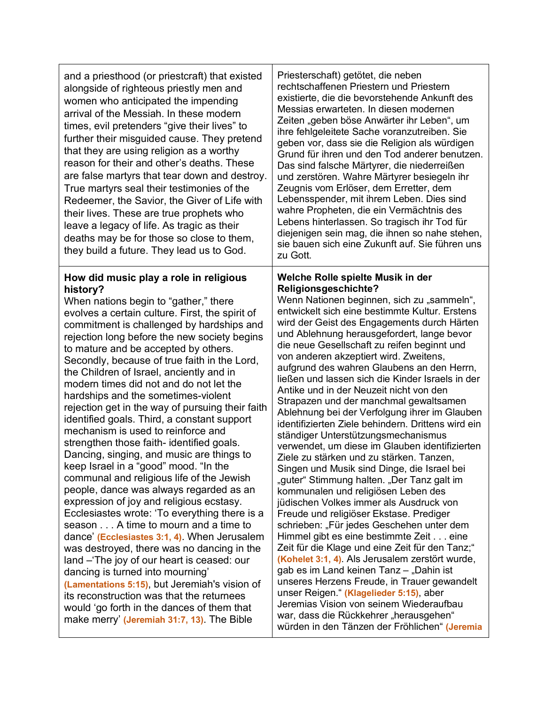| and a priesthood (or priestcraft) that existed<br>alongside of righteous priestly men and<br>women who anticipated the impending<br>arrival of the Messiah. In these modern<br>times, evil pretenders "give their lives" to<br>further their misguided cause. They pretend<br>that they are using religion as a worthy<br>reason for their and other's deaths. These<br>are false martyrs that tear down and destroy.<br>True martyrs seal their testimonies of the<br>Redeemer, the Savior, the Giver of Life with<br>their lives. These are true prophets who<br>leave a legacy of life. As tragic as their<br>deaths may be for those so close to them,<br>they build a future. They lead us to God.                                                                                                                                                                                                                                                                                                                                                                                                                                                                                                                                                                                                                                              | Priesterschaft) getötet, die neben<br>rechtschaffenen Priestern und Priestern<br>existierte, die die bevorstehende Ankunft des<br>Messias erwarteten. In diesen modernen<br>Zeiten "geben böse Anwärter ihr Leben", um<br>ihre fehlgeleitete Sache voranzutreiben. Sie<br>geben vor, dass sie die Religion als würdigen<br>Grund für ihren und den Tod anderer benutzen.<br>Das sind falsche Märtyrer, die niederreißen<br>und zerstören. Wahre Märtyrer besiegeln ihr<br>Zeugnis vom Erlöser, dem Erretter, dem<br>Lebensspender, mit ihrem Leben. Dies sind<br>wahre Propheten, die ein Vermächtnis des<br>Lebens hinterlassen. So tragisch ihr Tod für<br>diejenigen sein mag, die ihnen so nahe stehen,<br>sie bauen sich eine Zukunft auf. Sie führen uns<br>zu Gott.                                                                                                                                                                                                                                                                                                                                                                                                                                                                                                                                                                                                                                                                                                            |
|------------------------------------------------------------------------------------------------------------------------------------------------------------------------------------------------------------------------------------------------------------------------------------------------------------------------------------------------------------------------------------------------------------------------------------------------------------------------------------------------------------------------------------------------------------------------------------------------------------------------------------------------------------------------------------------------------------------------------------------------------------------------------------------------------------------------------------------------------------------------------------------------------------------------------------------------------------------------------------------------------------------------------------------------------------------------------------------------------------------------------------------------------------------------------------------------------------------------------------------------------------------------------------------------------------------------------------------------------|---------------------------------------------------------------------------------------------------------------------------------------------------------------------------------------------------------------------------------------------------------------------------------------------------------------------------------------------------------------------------------------------------------------------------------------------------------------------------------------------------------------------------------------------------------------------------------------------------------------------------------------------------------------------------------------------------------------------------------------------------------------------------------------------------------------------------------------------------------------------------------------------------------------------------------------------------------------------------------------------------------------------------------------------------------------------------------------------------------------------------------------------------------------------------------------------------------------------------------------------------------------------------------------------------------------------------------------------------------------------------------------------------------------------------------------------------------------------------------------|
| How did music play a role in religious<br>history?<br>When nations begin to "gather," there<br>evolves a certain culture. First, the spirit of<br>commitment is challenged by hardships and<br>rejection long before the new society begins<br>to mature and be accepted by others.<br>Secondly, because of true faith in the Lord,<br>the Children of Israel, anciently and in<br>modern times did not and do not let the<br>hardships and the sometimes-violent<br>rejection get in the way of pursuing their faith<br>identified goals. Third, a constant support<br>mechanism is used to reinforce and<br>strengthen those faith- identified goals.<br>Dancing, singing, and music are things to<br>keep Israel in a "good" mood. "In the<br>communal and religious life of the Jewish<br>people, dance was always regarded as an<br>expression of joy and religious ecstasy.<br>Ecclesiastes wrote: 'To everything there is a<br>season A time to mourn and a time to<br>dance' (Ecclesiastes 3:1, 4). When Jerusalem<br>was destroyed, there was no dancing in the<br>land - The joy of our heart is ceased: our<br>dancing is turned into mourning'<br>(Lamentations 5:15), but Jeremiah's vision of<br>its reconstruction was that the returnees<br>would 'go forth in the dances of them that<br>make merry' (Jeremiah 31:7, 13). The Bible | Welche Rolle spielte Musik in der<br>Religionsgeschichte?<br>Wenn Nationen beginnen, sich zu "sammeln",<br>entwickelt sich eine bestimmte Kultur. Erstens<br>wird der Geist des Engagements durch Härten<br>und Ablehnung herausgefordert, lange bevor<br>die neue Gesellschaft zu reifen beginnt und<br>von anderen akzeptiert wird. Zweitens,<br>aufgrund des wahren Glaubens an den Herrn,<br>ließen und lassen sich die Kinder Israels in der<br>Antike und in der Neuzeit nicht von den<br>Strapazen und der manchmal gewaltsamen<br>Ablehnung bei der Verfolgung ihrer im Glauben<br>identifizierten Ziele behindern. Drittens wird ein<br>ständiger Unterstützungsmechanismus<br>verwendet, um diese im Glauben identifizierten<br>Ziele zu stärken und zu stärken. Tanzen,<br>Singen und Musik sind Dinge, die Israel bei<br>"guter" Stimmung halten. "Der Tanz galt im<br>kommunalen und religiösen Leben des<br>jüdischen Volkes immer als Ausdruck von<br>Freude und religiöser Ekstase. Prediger<br>schrieben: "Für jedes Geschehen unter dem<br>Himmel gibt es eine bestimmte Zeit eine<br>Zeit für die Klage und eine Zeit für den Tanz;"<br>(Kohelet 3:1, 4). Als Jerusalem zerstört wurde,<br>gab es im Land keinen Tanz - "Dahin ist<br>unseres Herzens Freude, in Trauer gewandelt<br>unser Reigen." (Klagelieder 5:15), aber<br>Jeremias Vision von seinem Wiederaufbau<br>war, dass die Rückkehrer "herausgehen"<br>würden in den Tänzen der Fröhlichen" (Jeremia |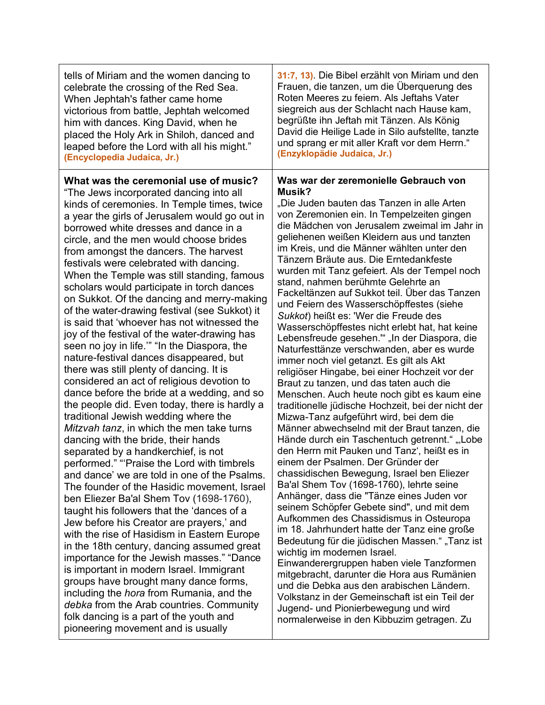| tells of Miriam and the women dancing to                                                                                                                                                                                                                                                                                                                                                                                                                                                                                                                                                                                                                                                                                                                                                                                                                                                                                                                                                                                                                                                                                                                                                                                                                                                                                                                                                                                                                                                                                                                                                                                                                                                                                                                                                                    | 31:7, 13). Die Bibel erzählt von Miriam und den                                                                                                                                                                                                                                                                                                                                                                                                                                                                                                                                                                                                                                                                                                                                                                                                                                                                                                                                                                                                                                                                                                                                                                                                                                                                                                                                                                                                                                                                                                                                                                                                                                                                                                                                                                                               |
|-------------------------------------------------------------------------------------------------------------------------------------------------------------------------------------------------------------------------------------------------------------------------------------------------------------------------------------------------------------------------------------------------------------------------------------------------------------------------------------------------------------------------------------------------------------------------------------------------------------------------------------------------------------------------------------------------------------------------------------------------------------------------------------------------------------------------------------------------------------------------------------------------------------------------------------------------------------------------------------------------------------------------------------------------------------------------------------------------------------------------------------------------------------------------------------------------------------------------------------------------------------------------------------------------------------------------------------------------------------------------------------------------------------------------------------------------------------------------------------------------------------------------------------------------------------------------------------------------------------------------------------------------------------------------------------------------------------------------------------------------------------------------------------------------------------|-----------------------------------------------------------------------------------------------------------------------------------------------------------------------------------------------------------------------------------------------------------------------------------------------------------------------------------------------------------------------------------------------------------------------------------------------------------------------------------------------------------------------------------------------------------------------------------------------------------------------------------------------------------------------------------------------------------------------------------------------------------------------------------------------------------------------------------------------------------------------------------------------------------------------------------------------------------------------------------------------------------------------------------------------------------------------------------------------------------------------------------------------------------------------------------------------------------------------------------------------------------------------------------------------------------------------------------------------------------------------------------------------------------------------------------------------------------------------------------------------------------------------------------------------------------------------------------------------------------------------------------------------------------------------------------------------------------------------------------------------------------------------------------------------------------------------------------------------|
| celebrate the crossing of the Red Sea.                                                                                                                                                                                                                                                                                                                                                                                                                                                                                                                                                                                                                                                                                                                                                                                                                                                                                                                                                                                                                                                                                                                                                                                                                                                                                                                                                                                                                                                                                                                                                                                                                                                                                                                                                                      | Frauen, die tanzen, um die Überquerung des                                                                                                                                                                                                                                                                                                                                                                                                                                                                                                                                                                                                                                                                                                                                                                                                                                                                                                                                                                                                                                                                                                                                                                                                                                                                                                                                                                                                                                                                                                                                                                                                                                                                                                                                                                                                    |
| When Jephtah's father came home                                                                                                                                                                                                                                                                                                                                                                                                                                                                                                                                                                                                                                                                                                                                                                                                                                                                                                                                                                                                                                                                                                                                                                                                                                                                                                                                                                                                                                                                                                                                                                                                                                                                                                                                                                             | Roten Meeres zu feiern. Als Jeftahs Vater                                                                                                                                                                                                                                                                                                                                                                                                                                                                                                                                                                                                                                                                                                                                                                                                                                                                                                                                                                                                                                                                                                                                                                                                                                                                                                                                                                                                                                                                                                                                                                                                                                                                                                                                                                                                     |
| victorious from battle, Jephtah welcomed                                                                                                                                                                                                                                                                                                                                                                                                                                                                                                                                                                                                                                                                                                                                                                                                                                                                                                                                                                                                                                                                                                                                                                                                                                                                                                                                                                                                                                                                                                                                                                                                                                                                                                                                                                    | siegreich aus der Schlacht nach Hause kam,                                                                                                                                                                                                                                                                                                                                                                                                                                                                                                                                                                                                                                                                                                                                                                                                                                                                                                                                                                                                                                                                                                                                                                                                                                                                                                                                                                                                                                                                                                                                                                                                                                                                                                                                                                                                    |
| him with dances. King David, when he                                                                                                                                                                                                                                                                                                                                                                                                                                                                                                                                                                                                                                                                                                                                                                                                                                                                                                                                                                                                                                                                                                                                                                                                                                                                                                                                                                                                                                                                                                                                                                                                                                                                                                                                                                        | begrüßte ihn Jeftah mit Tänzen. Als König                                                                                                                                                                                                                                                                                                                                                                                                                                                                                                                                                                                                                                                                                                                                                                                                                                                                                                                                                                                                                                                                                                                                                                                                                                                                                                                                                                                                                                                                                                                                                                                                                                                                                                                                                                                                     |
| placed the Holy Ark in Shiloh, danced and                                                                                                                                                                                                                                                                                                                                                                                                                                                                                                                                                                                                                                                                                                                                                                                                                                                                                                                                                                                                                                                                                                                                                                                                                                                                                                                                                                                                                                                                                                                                                                                                                                                                                                                                                                   | David die Heilige Lade in Silo aufstellte, tanzte                                                                                                                                                                                                                                                                                                                                                                                                                                                                                                                                                                                                                                                                                                                                                                                                                                                                                                                                                                                                                                                                                                                                                                                                                                                                                                                                                                                                                                                                                                                                                                                                                                                                                                                                                                                             |
| leaped before the Lord with all his might."                                                                                                                                                                                                                                                                                                                                                                                                                                                                                                                                                                                                                                                                                                                                                                                                                                                                                                                                                                                                                                                                                                                                                                                                                                                                                                                                                                                                                                                                                                                                                                                                                                                                                                                                                                 | und sprang er mit aller Kraft vor dem Herrn."                                                                                                                                                                                                                                                                                                                                                                                                                                                                                                                                                                                                                                                                                                                                                                                                                                                                                                                                                                                                                                                                                                                                                                                                                                                                                                                                                                                                                                                                                                                                                                                                                                                                                                                                                                                                 |
| (Encyclopedia Judaica, Jr.)                                                                                                                                                                                                                                                                                                                                                                                                                                                                                                                                                                                                                                                                                                                                                                                                                                                                                                                                                                                                                                                                                                                                                                                                                                                                                                                                                                                                                                                                                                                                                                                                                                                                                                                                                                                 | (Enzyklopädie Judaica, Jr.)                                                                                                                                                                                                                                                                                                                                                                                                                                                                                                                                                                                                                                                                                                                                                                                                                                                                                                                                                                                                                                                                                                                                                                                                                                                                                                                                                                                                                                                                                                                                                                                                                                                                                                                                                                                                                   |
| What was the ceremonial use of music?<br>"The Jews incorporated dancing into all<br>kinds of ceremonies. In Temple times, twice<br>a year the girls of Jerusalem would go out in<br>borrowed white dresses and dance in a<br>circle, and the men would choose brides<br>from amongst the dancers. The harvest<br>festivals were celebrated with dancing.<br>When the Temple was still standing, famous<br>scholars would participate in torch dances<br>on Sukkot. Of the dancing and merry-making<br>of the water-drawing festival (see Sukkot) it<br>is said that 'whoever has not witnessed the<br>joy of the festival of the water-drawing has<br>seen no joy in life."" "In the Diaspora, the<br>nature-festival dances disappeared, but<br>there was still plenty of dancing. It is<br>considered an act of religious devotion to<br>dance before the bride at a wedding, and so<br>the people did. Even today, there is hardly a<br>traditional Jewish wedding where the<br>Mitzvah tanz, in which the men take turns<br>dancing with the bride, their hands<br>separated by a handkerchief, is not<br>performed." "Praise the Lord with timbrels<br>and dance' we are told in one of the Psalms.<br>The founder of the Hasidic movement, Israel<br>ben Eliezer Ba'al Shem Tov (1698-1760),<br>taught his followers that the 'dances of a<br>Jew before his Creator are prayers,' and<br>with the rise of Hasidism in Eastern Europe<br>in the 18th century, dancing assumed great<br>importance for the Jewish masses." "Dance<br>is important in modern Israel. Immigrant<br>groups have brought many dance forms,<br>including the <i>hora</i> from Rumania, and the<br>debka from the Arab countries. Community<br>folk dancing is a part of the youth and<br>pioneering movement and is usually | Was war der zeremonielle Gebrauch von<br>Musik?<br>"Die Juden bauten das Tanzen in alle Arten<br>von Zeremonien ein. In Tempelzeiten gingen<br>die Mädchen von Jerusalem zweimal im Jahr in<br>geliehenen weißen Kleidern aus und tanzten<br>im Kreis, und die Männer wählten unter den<br>Tänzern Bräute aus. Die Erntedankfeste<br>wurden mit Tanz gefeiert. Als der Tempel noch<br>stand, nahmen berühmte Gelehrte an<br>Fackeltänzen auf Sukkot teil. Über das Tanzen<br>und Feiern des Wasserschöpffestes (siehe<br>Sukkot) heißt es: 'Wer die Freude des<br>Wasserschöpffestes nicht erlebt hat, hat keine<br>Lebensfreude gesehen." "In der Diaspora, die<br>Naturfesttänze verschwanden, aber es wurde<br>immer noch viel getanzt. Es gilt als Akt<br>religiöser Hingabe, bei einer Hochzeit vor der<br>Braut zu tanzen, und das taten auch die<br>Menschen. Auch heute noch gibt es kaum eine<br>traditionelle jüdische Hochzeit, bei der nicht der<br>Mizwa-Tanz aufgeführt wird, bei dem die<br>Männer abwechselnd mit der Braut tanzen, die<br>Hände durch ein Taschentuch getrennt." "Lobe<br>den Herrn mit Pauken und Tanz', heißt es in<br>einem der Psalmen. Der Gründer der<br>chassidischen Bewegung, Israel ben Eliezer<br>Ba'al Shem Tov (1698-1760), lehrte seine<br>Anhänger, dass die "Tänze eines Juden vor<br>seinem Schöpfer Gebete sind", und mit dem<br>Aufkommen des Chassidismus in Osteuropa<br>im 18. Jahrhundert hatte der Tanz eine große<br>Bedeutung für die jüdischen Massen." "Tanz ist<br>wichtig im modernen Israel.<br>Einwanderergruppen haben viele Tanzformen<br>mitgebracht, darunter die Hora aus Rumänien<br>und die Debka aus den arabischen Ländern.<br>Volkstanz in der Gemeinschaft ist ein Teil der<br>Jugend- und Pionierbewegung und wird<br>normalerweise in den Kibbuzim getragen. Zu |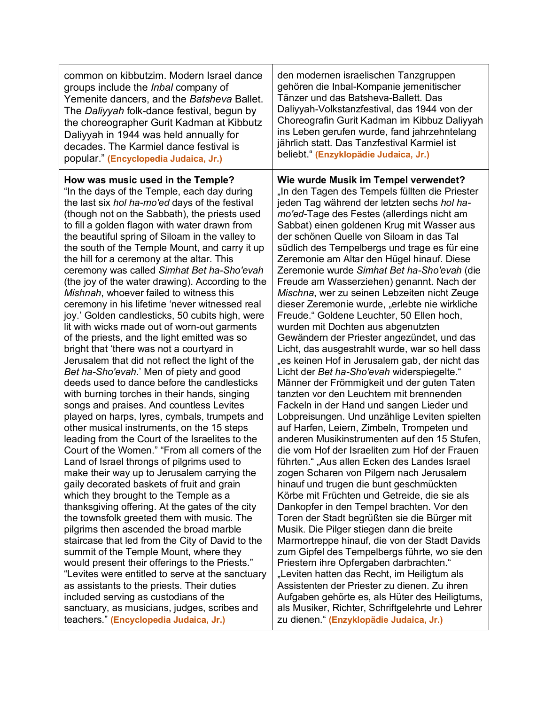| common on kibbutzim. Modern Israel dance         | den modernen israelischen Tanzgruppen            |
|--------------------------------------------------|--------------------------------------------------|
| groups include the Inbal company of              | gehören die Inbal-Kompanie jemenitischer         |
| Yemenite dancers, and the Batsheva Ballet.       | Tänzer und das Batsheva-Ballett. Das             |
| The Daliyyah folk-dance festival, begun by       | Daliyyah-Volkstanzfestival, das 1944 von der     |
| the choreographer Gurit Kadman at Kibbutz        | Choreografin Gurit Kadman im Kibbuz Daliyyah     |
| Daliyyah in 1944 was held annually for           | ins Leben gerufen wurde, fand jahrzehntelang     |
| decades. The Karmiel dance festival is           | jährlich statt. Das Tanzfestival Karmiel ist     |
| popular." (Encyclopedia Judaica, Jr.)            | beliebt." (Enzyklopädie Judaica, Jr.)            |
| How was music used in the Temple?                | Wie wurde Musik im Tempel verwendet?             |
| "In the days of the Temple, each day during      | "In den Tagen des Tempels füllten die Priester   |
| the last six hol ha-mo'ed days of the festival   | jeden Tag während der letzten sechs hol ha-      |
| (though not on the Sabbath), the priests used    | mo'ed-Tage des Festes (allerdings nicht am       |
| to fill a golden flagon with water drawn from    | Sabbat) einen goldenen Krug mit Wasser aus       |
| the beautiful spring of Siloam in the valley to  | der schönen Quelle von Siloam in das Tal         |
| the south of the Temple Mount, and carry it up   | südlich des Tempelbergs und trage es für eine    |
| the hill for a ceremony at the altar. This       | Zeremonie am Altar den Hügel hinauf. Diese       |
| ceremony was called Simhat Bet ha-Sho'evah       | Zeremonie wurde Simhat Bet ha-Sho'evah (die      |
| (the joy of the water drawing). According to the | Freude am Wasserziehen) genannt. Nach der        |
| Mishnah, whoever failed to witness this          | Mischna, wer zu seinen Lebzeiten nicht Zeuge     |
| ceremony in his lifetime 'never witnessed real   | dieser Zeremonie wurde, "erlebte nie wirkliche   |
| joy.' Golden candlesticks, 50 cubits high, were  | Freude." Goldene Leuchter, 50 Ellen hoch,        |
| lit with wicks made out of worn-out garments     | wurden mit Dochten aus abgenutzten               |
| of the priests, and the light emitted was so     | Gewändern der Priester angezündet, und das       |
| bright that 'there was not a courtyard in        | Licht, das ausgestrahlt wurde, war so hell dass  |
| Jerusalem that did not reflect the light of the  | "es keinen Hof in Jerusalem gab, der nicht das   |
| Bet ha-Sho'evah.' Men of piety and good          | Licht der Bet ha-Sho'evah widerspiegelte."       |
| deeds used to dance before the candlesticks      | Männer der Frömmigkeit und der guten Taten       |
| with burning torches in their hands, singing     | tanzten vor den Leuchtern mit brennenden         |
| songs and praises. And countless Levites         | Fackeln in der Hand und sangen Lieder und        |
| played on harps, lyres, cymbals, trumpets and    | Lobpreisungen. Und unzählige Leviten spielten    |
| other musical instruments, on the 15 steps       | auf Harfen, Leiern, Zimbeln, Trompeten und       |
| leading from the Court of the Israelites to the  | anderen Musikinstrumenten auf den 15 Stufen,     |
| Court of the Women." "From all corners of the    | die vom Hof der Israeliten zum Hof der Frauen    |
| Land of Israel throngs of pilgrims used to       | führten." "Aus allen Ecken des Landes Israel     |
| make their way up to Jerusalem carrying the      | zogen Scharen von Pilgern nach Jerusalem         |
| gaily decorated baskets of fruit and grain       | hinauf und trugen die bunt geschmückten          |
| which they brought to the Temple as a            | Körbe mit Früchten und Getreide, die sie als     |
| thanksgiving offering. At the gates of the city  | Dankopfer in den Tempel brachten. Vor den        |
| the townsfolk greeted them with music. The       | Toren der Stadt begrüßten sie die Bürger mit     |
| pilgrims then ascended the broad marble          | Musik. Die Pilger stiegen dann die breite        |
| staircase that led from the City of David to the | Marmortreppe hinauf, die von der Stadt Davids    |
| summit of the Temple Mount, where they           | zum Gipfel des Tempelbergs führte, wo sie den    |
| would present their offerings to the Priests."   | Priestern ihre Opfergaben darbrachten."          |
| "Levites were entitled to serve at the sanctuary | "Leviten hatten das Recht, im Heiligtum als      |
| as assistants to the priests. Their duties       | Assistenten der Priester zu dienen. Zu ihren     |
| included serving as custodians of the            | Aufgaben gehörte es, als Hüter des Heiligtums,   |
| sanctuary, as musicians, judges, scribes and     | als Musiker, Richter, Schriftgelehrte und Lehrer |
| teachers." (Encyclopedia Judaica, Jr.)           | zu dienen." (Enzyklopädie Judaica, Jr.)          |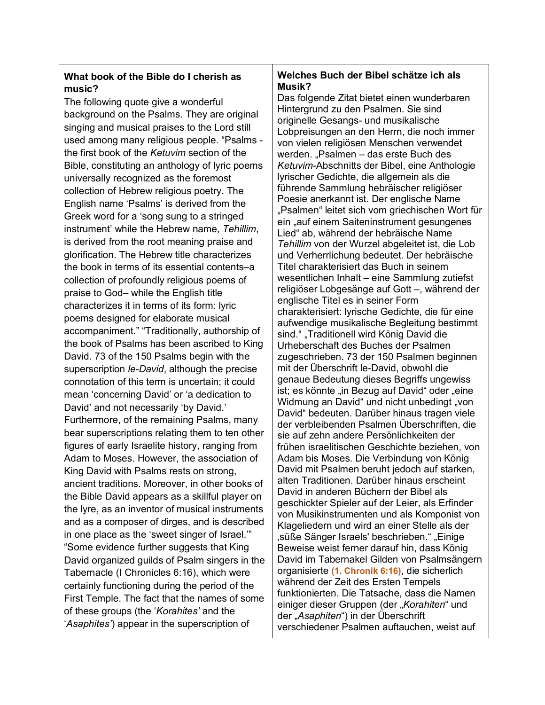## **What book of the Bible do I cherish as music?**

The following quote give a wonderful background on the Psalms. They are original singing and musical praises to the Lord still used among many religious people. "Psalms the first book of the *Ketuvim* section of the Bible, constituting an anthology of lyric poems universally recognized as the foremost collection of Hebrew religious poetry. The English name 'Psalms' is derived from the Greek word for a 'song sung to a stringed instrument' while the Hebrew name, *Tehillim*, is derived from the root meaning praise and glorification. The Hebrew title characterizes the book in terms of its essential contents–a collection of profoundly religious poems of praise to God– while the English title characterizes it in terms of its form: lyric poems designed for elaborate musical accompaniment." "Traditionally, authorship of the book of Psalms has been ascribed to King David. 73 of the 150 Psalms begin with the superscription *le-David*, although the precise connotation of this term is uncertain; it could mean 'concerning David' or 'a dedication to David' and not necessarily 'by David.' Furthermore, of the remaining Psalms, many bear superscriptions relating them to ten other figures of early Israelite history, ranging from Adam to Moses. However, the association of King David with Psalms rests on strong, ancient traditions. Moreover, in other books of the Bible David appears as a skillful player on the lyre, as an inventor of musical instruments and as a composer of dirges, and is described in one place as the 'sweet singer of Israel.'" "Some evidence further suggests that King David organized guilds of Psalm singers in the Tabernacle (I Chronicles 6:16), which were certainly functioning during the period of the First Temple. The fact that the names of some of these groups (the '*Korahites'* and the '*Asaphites'*) appear in the superscription of

#### **Welches Buch der Bibel schätze ich als Musik?**

Das folgende Zitat bietet einen wunderbaren Hintergrund zu den Psalmen. Sie sind originelle Gesangs- und musikalische Lobpreisungen an den Herrn, die noch immer von vielen religiösen Menschen verwendet werden. "Psalmen – das erste Buch des *Ketuvim*-Abschnitts der Bibel, eine Anthologie lyrischer Gedichte, die allgemein als die führende Sammlung hebräischer religiöser Poesie anerkannt ist. Der englische Name "Psalmen" leitet sich vom griechischen Wort für ein "auf einem Saiteninstrument gesungenes Lied" ab, während der hebräische Name *Tehillim* von der Wurzel abgeleitet ist, die Lob und Verherrlichung bedeutet. Der hebräische Titel charakterisiert das Buch in seinem wesentlichen Inhalt – eine Sammlung zutiefst religiöser Lobgesänge auf Gott –, während der englische Titel es in seiner Form charakterisiert: lyrische Gedichte, die für eine aufwendige musikalische Begleitung bestimmt sind." "Traditionell wird König David die Urheberschaft des Buches der Psalmen zugeschrieben. 73 der 150 Psalmen beginnen mit der Überschrift le-David, obwohl die genaue Bedeutung dieses Begriffs ungewiss ist; es könnte "in Bezug auf David" oder "eine Widmung an David" und nicht unbedingt "von David" bedeuten. Darüber hinaus tragen viele der verbleibenden Psalmen Überschriften, die sie auf zehn andere Persönlichkeiten der frühen israelitischen Geschichte beziehen, von Adam bis Moses. Die Verbindung von König David mit Psalmen beruht jedoch auf starken, alten Traditionen. Darüber hinaus erscheint David in anderen Büchern der Bibel als geschickter Spieler auf der Leier, als Erfinder von Musikinstrumenten und als Komponist von Klageliedern und wird an einer Stelle als der süße Sänger Israels' beschrieben." "Einige Beweise weist ferner darauf hin, dass König David im Tabernakel Gilden von Psalmsängern organisierte **(1. Chronik 6:16)**, die sicherlich während der Zeit des Ersten Tempels funktionierten. Die Tatsache, dass die Namen einiger dieser Gruppen (der "Korahiten" und der "*Asaphiten*") in der Überschrift verschiedener Psalmen auftauchen, weist auf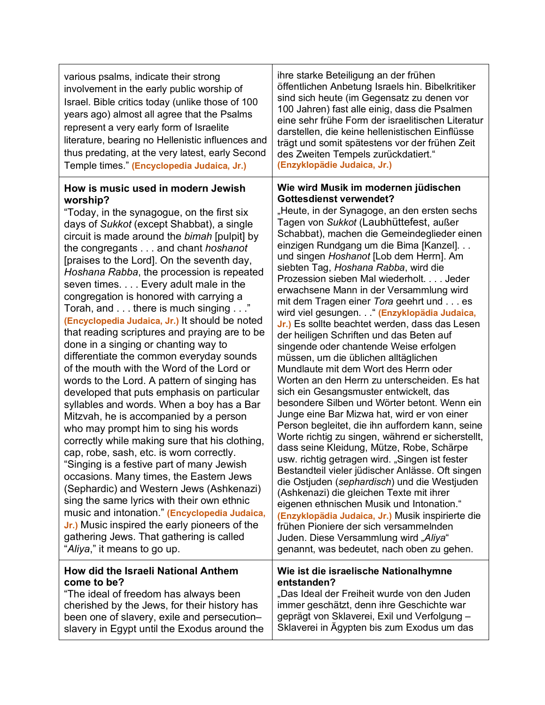| various psalms, indicate their strong<br>involvement in the early public worship of<br>Israel. Bible critics today (unlike those of 100<br>years ago) almost all agree that the Psalms<br>represent a very early form of Israelite<br>literature, bearing no Hellenistic influences and<br>thus predating, at the very latest, early Second<br>Temple times." (Encyclopedia Judaica, Jr.)                                                                                                                                                                                                                                                                                                                                                                                                                                                                                                                                                                                                                                                                                                                                                                                                                                                                                                                                                                                      | ihre starke Beteiligung an der frühen<br>öffentlichen Anbetung Israels hin. Bibelkritiker<br>sind sich heute (im Gegensatz zu denen vor<br>100 Jahren) fast alle einig, dass die Psalmen<br>eine sehr frühe Form der israelitischen Literatur<br>darstellen, die keine hellenistischen Einflüsse<br>trägt und somit spätestens vor der frühen Zeit<br>des Zweiten Tempels zurückdatiert."<br>(Enzyklopädie Judaica, Jr.)                                                                                                                                                                                                                                                                                                                                                                                                                                                                                                                                                                                                                                                                                                                                                                                                                                                                                                                                                                                                                                                                                                                     |
|--------------------------------------------------------------------------------------------------------------------------------------------------------------------------------------------------------------------------------------------------------------------------------------------------------------------------------------------------------------------------------------------------------------------------------------------------------------------------------------------------------------------------------------------------------------------------------------------------------------------------------------------------------------------------------------------------------------------------------------------------------------------------------------------------------------------------------------------------------------------------------------------------------------------------------------------------------------------------------------------------------------------------------------------------------------------------------------------------------------------------------------------------------------------------------------------------------------------------------------------------------------------------------------------------------------------------------------------------------------------------------|----------------------------------------------------------------------------------------------------------------------------------------------------------------------------------------------------------------------------------------------------------------------------------------------------------------------------------------------------------------------------------------------------------------------------------------------------------------------------------------------------------------------------------------------------------------------------------------------------------------------------------------------------------------------------------------------------------------------------------------------------------------------------------------------------------------------------------------------------------------------------------------------------------------------------------------------------------------------------------------------------------------------------------------------------------------------------------------------------------------------------------------------------------------------------------------------------------------------------------------------------------------------------------------------------------------------------------------------------------------------------------------------------------------------------------------------------------------------------------------------------------------------------------------------|
| How is music used in modern Jewish<br>worship?<br>"Today, in the synagogue, on the first six<br>days of Sukkot (except Shabbat), a single<br>circuit is made around the bimah [pulpit] by<br>the congregants and chant hoshanot<br>[praises to the Lord]. On the seventh day,<br>Hoshana Rabba, the procession is repeated<br>seven times Every adult male in the<br>congregation is honored with carrying a<br>Torah, and there is much singing"<br>(Encyclopedia Judaica, Jr.) It should be noted<br>that reading scriptures and praying are to be<br>done in a singing or chanting way to<br>differentiate the common everyday sounds<br>of the mouth with the Word of the Lord or<br>words to the Lord. A pattern of singing has<br>developed that puts emphasis on particular<br>syllables and words. When a boy has a Bar<br>Mitzvah, he is accompanied by a person<br>who may prompt him to sing his words<br>correctly while making sure that his clothing,<br>cap, robe, sash, etc. is worn correctly.<br>"Singing is a festive part of many Jewish<br>occasions. Many times, the Eastern Jews<br>(Sephardic) and Western Jews (Ashkenazi)<br>sing the same lyrics with their own ethnic<br>music and intonation." (Encyclopedia Judaica,<br>Jr.) Music inspired the early pioneers of the<br>gathering Jews. That gathering is called<br>"Aliya," it means to go up. | Wie wird Musik im modernen jüdischen<br><b>Gottesdienst verwendet?</b><br>"Heute, in der Synagoge, an den ersten sechs<br>Tagen von Sukkot (Laubhüttefest, außer<br>Schabbat), machen die Gemeindeglieder einen<br>einzigen Rundgang um die Bima [Kanzel]<br>und singen Hoshanot [Lob dem Herrn]. Am<br>siebten Tag, Hoshana Rabba, wird die<br>Prozession sieben Mal wiederholt. Jeder<br>erwachsene Mann in der Versammlung wird<br>mit dem Tragen einer Tora geehrt und es<br>wird viel gesungen. . " (Enzyklopädia Judaica,<br>Jr.) Es sollte beachtet werden, dass das Lesen<br>der heiligen Schriften und das Beten auf<br>singende oder chantende Weise erfolgen<br>müssen, um die üblichen alltäglichen<br>Mundlaute mit dem Wort des Herrn oder<br>Worten an den Herrn zu unterscheiden. Es hat<br>sich ein Gesangsmuster entwickelt, das<br>besondere Silben und Wörter betont. Wenn ein<br>Junge eine Bar Mizwa hat, wird er von einer<br>Person begleitet, die ihn auffordern kann, seine<br>Worte richtig zu singen, während er sicherstellt,<br>dass seine Kleidung, Mütze, Robe, Schärpe<br>usw. richtig getragen wird. "Singen ist fester<br>Bestandteil vieler jüdischer Anlässe. Oft singen<br>die Ostjuden (sephardisch) und die Westjuden<br>(Ashkenazi) die gleichen Texte mit ihrer<br>eigenen ethnischen Musik und Intonation."<br>(Enzyklopädia Judaica, Jr.) Musik inspirierte die<br>frühen Pioniere der sich versammelnden<br>Juden. Diese Versammlung wird "Aliya"<br>genannt, was bedeutet, nach oben zu gehen. |
| How did the Israeli National Anthem<br>come to be?<br>"The ideal of freedom has always been<br>cherished by the Jews, for their history has<br>been one of slavery, exile and persecution-<br>slavery in Egypt until the Exodus around the                                                                                                                                                                                                                                                                                                                                                                                                                                                                                                                                                                                                                                                                                                                                                                                                                                                                                                                                                                                                                                                                                                                                     | Wie ist die israelische Nationalhymne<br>entstanden?<br>"Das Ideal der Freiheit wurde von den Juden<br>immer geschätzt, denn ihre Geschichte war<br>geprägt von Sklaverei, Exil und Verfolgung -<br>Sklaverei in Ägypten bis zum Exodus um das                                                                                                                                                                                                                                                                                                                                                                                                                                                                                                                                                                                                                                                                                                                                                                                                                                                                                                                                                                                                                                                                                                                                                                                                                                                                                               |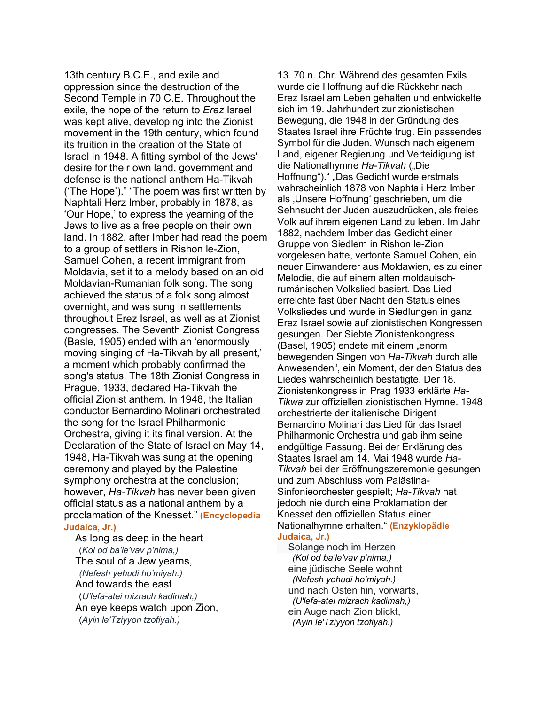13th century B.C.E., and exile and oppression since the destruction of the Second Temple in 70 C.E. Throughout the exile, the hope of the return to *Erez* Israel was kept alive, developing into the Zionist movement in the 19th century, which found its fruition in the creation of the State of Israel in 1948. A fitting symbol of the Jews' desire for their own land, government and defense is the national anthem Ha-Tikvah ('The Hope')." "The poem was first written by Naphtali Herz Imber, probably in 1878, as 'Our Hope,' to express the yearning of the Jews to live as a free people on their own land. In 1882, after Imber had read the poem to a group of settlers in Rishon le-Zion, Samuel Cohen, a recent immigrant from Moldavia, set it to a melody based on an old Moldavian-Rumanian folk song. The song achieved the status of a folk song almost overnight, and was sung in settlements throughout Erez Israel, as well as at Zionist congresses. The Seventh Zionist Congress (Basle, 1905) ended with an 'enormously moving singing of Ha-Tikvah by all present,' a moment which probably confirmed the song's status. The 18th Zionist Congress in Prague, 1933, declared Ha-Tikvah the official Zionist anthem. In 1948, the Italian conductor Bernardino Molinari orchestrated the song for the Israel Philharmonic Orchestra, giving it its final version. At the Declaration of the State of Israel on May 14, 1948, Ha-Tikvah was sung at the opening ceremony and played by the Palestine symphony orchestra at the conclusion; however, *Ha-Tikvah* has never been given official status as a national anthem by a proclamation of the Knesset." **(Encyclopedia Judaica, Jr.)**

 As long as deep in the heart (*Kol od ba'le'vav p'nima,)* The soul of a Jew yearns,  *(Nefesh yehudi ho'miyah.)* And towards the east (*U'lefa-atei mizrach kadimah,)* An eye keeps watch upon Zion, (*Ayin le'Tziyyon tzofiyah.)*

13. 70 n. Chr. Während des gesamten Exils wurde die Hoffnung auf die Rückkehr nach Erez Israel am Leben gehalten und entwickelte sich im 19. Jahrhundert zur zionistischen Bewegung, die 1948 in der Gründung des Staates Israel ihre Früchte trug. Ein passendes Symbol für die Juden. Wunsch nach eigenem Land, eigener Regierung und Verteidigung ist die Nationalhymne Ha-Tikvah ("Die Hoffnung")." "Das Gedicht wurde erstmals wahrscheinlich 1878 von Naphtali Herz Imber als , Unsere Hoffnung' geschrieben, um die Sehnsucht der Juden auszudrücken, als freies Volk auf ihrem eigenen Land zu leben. Im Jahr 1882, nachdem Imber das Gedicht einer Gruppe von Siedlern in Rishon le-Zion vorgelesen hatte, vertonte Samuel Cohen, ein neuer Einwanderer aus Moldawien, es zu einer Melodie, die auf einem alten moldauischrumänischen Volkslied basiert. Das Lied erreichte fast über Nacht den Status eines Volksliedes und wurde in Siedlungen in ganz Erez Israel sowie auf zionistischen Kongressen gesungen. Der Siebte Zionistenkongress (Basel, 1905) endete mit einem "enorm bewegenden Singen von *Ha-Tikvah* durch alle Anwesenden", ein Moment, der den Status des Liedes wahrscheinlich bestätigte. Der 18. Zionistenkongress in Prag 1933 erklärte *Ha-Tikwa* zur offiziellen zionistischen Hymne. 1948 orchestrierte der italienische Dirigent Bernardino Molinari das Lied für das Israel Philharmonic Orchestra und gab ihm seine endgültige Fassung. Bei der Erklärung des Staates Israel am 14. Mai 1948 wurde *Ha-Tikvah* bei der Eröffnungszeremonie gesungen und zum Abschluss vom Palästina-Sinfonieorchester gespielt; *Ha-Tikvah* hat jedoch nie durch eine Proklamation der Knesset den offiziellen Status einer Nationalhymne erhalten." **(Enzyklopädie Judaica, Jr.)**

 Solange noch im Herzen  *(Kol od ba'le'vav p'nima,)* eine jüdische Seele wohnt  *(Nefesh yehudi ho'miyah.)* und nach Osten hin, vorwärts,  *(U'lefa-atei mizrach kadimah,)* ein Auge nach Zion blickt,  *(Ayin le'Tziyyon tzofiyah.)*